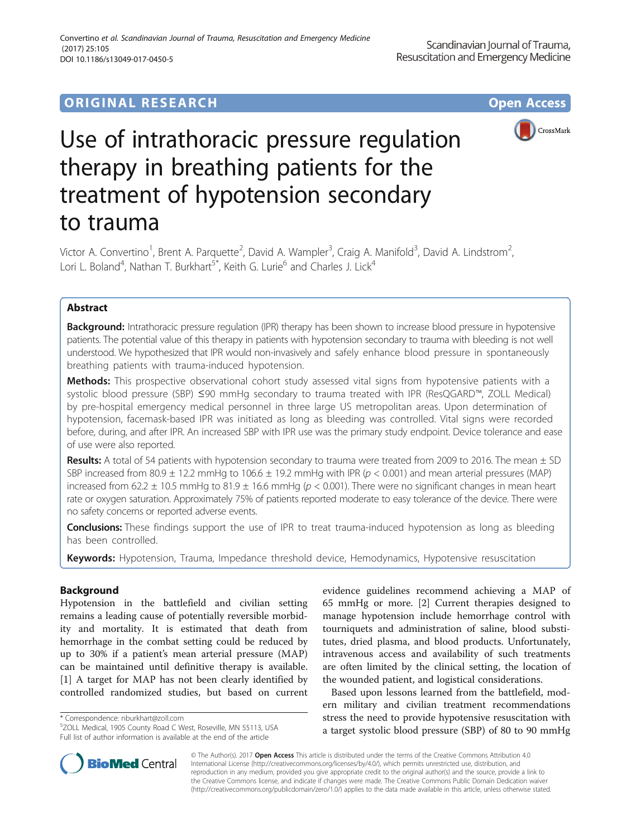## **ORIGINAL RESEARCH CONSUMING ACCESS**



# Use of intrathoracic pressure regulation therapy in breathing patients for the treatment of hypotension secondary to trauma

Victor A. Convertino<sup>1</sup>, Brent A. Parquette<sup>2</sup>, David A. Wampler<sup>3</sup>, Craig A. Manifold<sup>3</sup>, David A. Lindstrom<sup>2</sup> .<br>, Lori L. Boland<sup>4</sup>, Nathan T. Burkhart<sup>5\*</sup>, Keith G. Lurie<sup>6</sup> and Charles J. Lick<sup>4</sup>

## Abstract

Background: Intrathoracic pressure regulation (IPR) therapy has been shown to increase blood pressure in hypotensive patients. The potential value of this therapy in patients with hypotension secondary to trauma with bleeding is not well understood. We hypothesized that IPR would non-invasively and safely enhance blood pressure in spontaneously breathing patients with trauma-induced hypotension.

Methods: This prospective observational cohort study assessed vital signs from hypotensive patients with a systolic blood pressure (SBP) ≤90 mmHg secondary to trauma treated with IPR (ResQGARD™, ZOLL Medical) by pre-hospital emergency medical personnel in three large US metropolitan areas. Upon determination of hypotension, facemask-based IPR was initiated as long as bleeding was controlled. Vital signs were recorded before, during, and after IPR. An increased SBP with IPR use was the primary study endpoint. Device tolerance and ease of use were also reported.

Results: A total of 54 patients with hypotension secondary to trauma were treated from 2009 to 2016. The mean  $\pm$  SD SBP increased from  $80.9 \pm 12.2$  mmHg to  $106.6 \pm 19.2$  mmHg with IPR ( $p < 0.001$ ) and mean arterial pressures (MAP) increased from 62.2  $\pm$  10.5 mmHg to 81.9  $\pm$  16.6 mmHg ( $p < 0.001$ ). There were no significant changes in mean heart rate or oxygen saturation. Approximately 75% of patients reported moderate to easy tolerance of the device. There were no safety concerns or reported adverse events.

**Conclusions:** These findings support the use of IPR to treat trauma-induced hypotension as long as bleeding has been controlled.

Keywords: Hypotension, Trauma, Impedance threshold device, Hemodynamics, Hypotensive resuscitation

## Background

Hypotension in the battlefield and civilian setting remains a leading cause of potentially reversible morbidity and mortality. It is estimated that death from hemorrhage in the combat setting could be reduced by up to 30% if a patient's mean arterial pressure (MAP) can be maintained until definitive therapy is available. [[1\]](#page-5-0) A target for MAP has not been clearly identified by controlled randomized studies, but based on current

\* Correspondence: [nburkhart@zoll.com](mailto:nburkhart@zoll.com) <sup>5</sup>

evidence guidelines recommend achieving a MAP of 65 mmHg or more. [[2\]](#page-5-0) Current therapies designed to manage hypotension include hemorrhage control with tourniquets and administration of saline, blood substitutes, dried plasma, and blood products. Unfortunately, intravenous access and availability of such treatments are often limited by the clinical setting, the location of the wounded patient, and logistical considerations.

Based upon lessons learned from the battlefield, modern military and civilian treatment recommendations stress the need to provide hypotensive resuscitation with a target systolic blood pressure (SBP) of 80 to 90 mmHg



© The Author(s). 2017 **Open Access** This article is distributed under the terms of the Creative Commons Attribution 4.0 International License [\(http://creativecommons.org/licenses/by/4.0/](http://creativecommons.org/licenses/by/4.0/)), which permits unrestricted use, distribution, and reproduction in any medium, provided you give appropriate credit to the original author(s) and the source, provide a link to the Creative Commons license, and indicate if changes were made. The Creative Commons Public Domain Dedication waiver [\(http://creativecommons.org/publicdomain/zero/1.0/](http://creativecommons.org/publicdomain/zero/1.0/)) applies to the data made available in this article, unless otherwise stated.

<sup>&</sup>lt;sup>5</sup>ZOLL Medical, 1905 County Road C West, Roseville, MN 55113, USA Full list of author information is available at the end of the article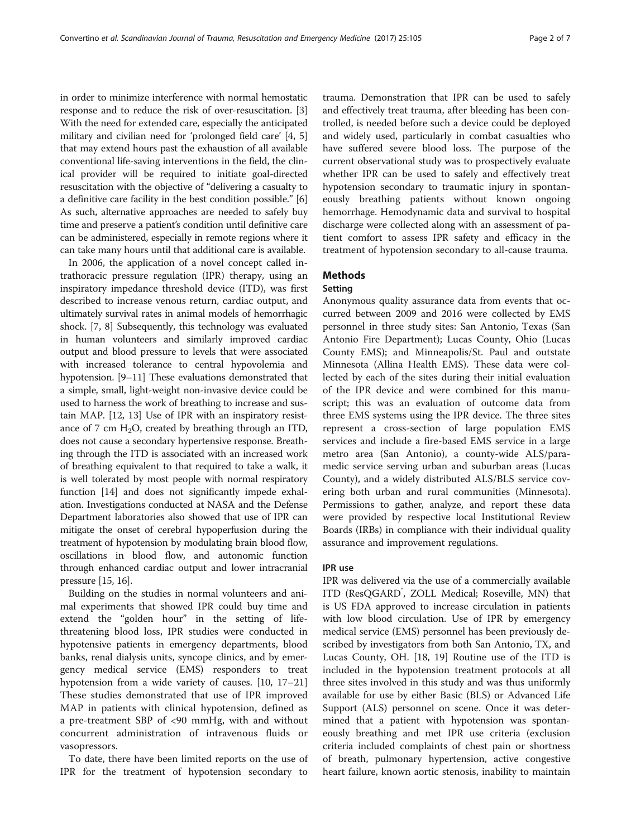in order to minimize interference with normal hemostatic response and to reduce the risk of over-resuscitation. [[3](#page-5-0)] With the need for extended care, especially the anticipated military and civilian need for 'prolonged field care' [\[4, 5](#page-5-0)] that may extend hours past the exhaustion of all available conventional life-saving interventions in the field, the clinical provider will be required to initiate goal-directed resuscitation with the objective of "delivering a casualty to a definitive care facility in the best condition possible." [[6](#page-5-0)] As such, alternative approaches are needed to safely buy time and preserve a patient's condition until definitive care can be administered, especially in remote regions where it can take many hours until that additional care is available.

In 2006, the application of a novel concept called intrathoracic pressure regulation (IPR) therapy, using an inspiratory impedance threshold device (ITD), was first described to increase venous return, cardiac output, and ultimately survival rates in animal models of hemorrhagic shock. [\[7](#page-5-0), [8\]](#page-5-0) Subsequently, this technology was evaluated in human volunteers and similarly improved cardiac output and blood pressure to levels that were associated with increased tolerance to central hypovolemia and hypotension. [\[9](#page-5-0)–[11](#page-5-0)] These evaluations demonstrated that a simple, small, light-weight non-invasive device could be used to harness the work of breathing to increase and sustain MAP. [[12](#page-5-0), [13\]](#page-5-0) Use of IPR with an inspiratory resistance of 7 cm  $H_2O$ , created by breathing through an ITD, does not cause a secondary hypertensive response. Breathing through the ITD is associated with an increased work of breathing equivalent to that required to take a walk, it is well tolerated by most people with normal respiratory function [[14](#page-6-0)] and does not significantly impede exhalation. Investigations conducted at NASA and the Defense Department laboratories also showed that use of IPR can mitigate the onset of cerebral hypoperfusion during the treatment of hypotension by modulating brain blood flow, oscillations in blood flow, and autonomic function through enhanced cardiac output and lower intracranial pressure [\[15, 16\]](#page-6-0).

Building on the studies in normal volunteers and animal experiments that showed IPR could buy time and extend the "golden hour" in the setting of lifethreatening blood loss, IPR studies were conducted in hypotensive patients in emergency departments, blood banks, renal dialysis units, syncope clinics, and by emergency medical service (EMS) responders to treat hypotension from a wide variety of causes. [[10](#page-5-0), [17](#page-6-0)–[21](#page-6-0)] These studies demonstrated that use of IPR improved MAP in patients with clinical hypotension, defined as a pre-treatment SBP of <90 mmHg, with and without concurrent administration of intravenous fluids or vasopressors.

To date, there have been limited reports on the use of IPR for the treatment of hypotension secondary to

trauma. Demonstration that IPR can be used to safely and effectively treat trauma, after bleeding has been controlled, is needed before such a device could be deployed and widely used, particularly in combat casualties who have suffered severe blood loss. The purpose of the current observational study was to prospectively evaluate whether IPR can be used to safely and effectively treat hypotension secondary to traumatic injury in spontaneously breathing patients without known ongoing hemorrhage. Hemodynamic data and survival to hospital discharge were collected along with an assessment of patient comfort to assess IPR safety and efficacy in the treatment of hypotension secondary to all-cause trauma.

## **Methods**

## Setting

Anonymous quality assurance data from events that occurred between 2009 and 2016 were collected by EMS personnel in three study sites: San Antonio, Texas (San Antonio Fire Department); Lucas County, Ohio (Lucas County EMS); and Minneapolis/St. Paul and outstate Minnesota (Allina Health EMS). These data were collected by each of the sites during their initial evaluation of the IPR device and were combined for this manuscript; this was an evaluation of outcome data from three EMS systems using the IPR device. The three sites represent a cross-section of large population EMS services and include a fire-based EMS service in a large metro area (San Antonio), a county-wide ALS/paramedic service serving urban and suburban areas (Lucas County), and a widely distributed ALS/BLS service covering both urban and rural communities (Minnesota). Permissions to gather, analyze, and report these data were provided by respective local Institutional Review Boards (IRBs) in compliance with their individual quality assurance and improvement regulations.

## IPR use

IPR was delivered via the use of a commercially available ITD (ResQGARD<sup>®</sup>, ZOLL Medical; Roseville, MN) that is US FDA approved to increase circulation in patients with low blood circulation. Use of IPR by emergency medical service (EMS) personnel has been previously described by investigators from both San Antonio, TX, and Lucas County, OH. [[18, 19\]](#page-6-0) Routine use of the ITD is included in the hypotension treatment protocols at all three sites involved in this study and was thus uniformly available for use by either Basic (BLS) or Advanced Life Support (ALS) personnel on scene. Once it was determined that a patient with hypotension was spontaneously breathing and met IPR use criteria (exclusion criteria included complaints of chest pain or shortness of breath, pulmonary hypertension, active congestive heart failure, known aortic stenosis, inability to maintain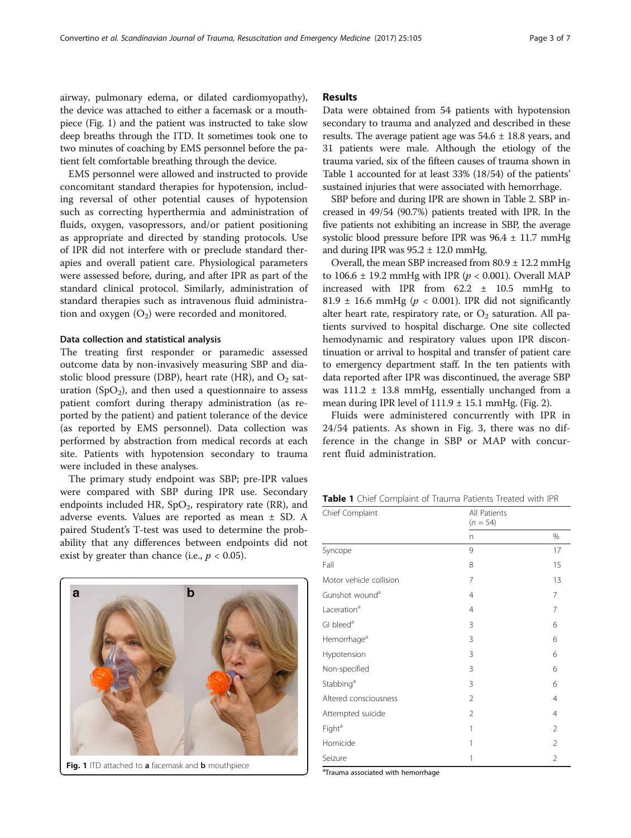<span id="page-2-0"></span>airway, pulmonary edema, or dilated cardiomyopathy), the device was attached to either a facemask or a mouthpiece (Fig. 1) and the patient was instructed to take slow deep breaths through the ITD. It sometimes took one to two minutes of coaching by EMS personnel before the patient felt comfortable breathing through the device.

EMS personnel were allowed and instructed to provide concomitant standard therapies for hypotension, including reversal of other potential causes of hypotension such as correcting hyperthermia and administration of fluids, oxygen, vasopressors, and/or patient positioning as appropriate and directed by standing protocols. Use of IPR did not interfere with or preclude standard therapies and overall patient care. Physiological parameters were assessed before, during, and after IPR as part of the standard clinical protocol. Similarly, administration of standard therapies such as intravenous fluid administration and oxygen  $(O_2)$  were recorded and monitored.

#### Data collection and statistical analysis

The treating first responder or paramedic assessed outcome data by non-invasively measuring SBP and diastolic blood pressure (DBP), heart rate (HR), and  $O_2$  saturation  $(SpO<sub>2</sub>)$ , and then used a questionnaire to assess patient comfort during therapy administration (as reported by the patient) and patient tolerance of the device (as reported by EMS personnel). Data collection was performed by abstraction from medical records at each site. Patients with hypotension secondary to trauma were included in these analyses.

The primary study endpoint was SBP; pre-IPR values were compared with SBP during IPR use. Secondary endpoints included HR,  $SpO<sub>2</sub>$ , respiratory rate (RR), and adverse events. Values are reported as mean ± SD. A paired Student's T-test was used to determine the probability that any differences between endpoints did not exist by greater than chance (i.e.,  $p < 0.05$ ).



Fig. 1 ITD attached to a facemask and **b** mouthpiece

## Results

Data were obtained from 54 patients with hypotension secondary to trauma and analyzed and described in these results. The average patient age was  $54.6 \pm 18.8$  years, and 31 patients were male. Although the etiology of the trauma varied, six of the fifteen causes of trauma shown in Table 1 accounted for at least 33% (18/54) of the patients' sustained injuries that were associated with hemorrhage.

SBP before and during IPR are shown in Table [2.](#page-3-0) SBP increased in 49/54 (90.7%) patients treated with IPR. In the five patients not exhibiting an increase in SBP, the average systolic blood pressure before IPR was  $96.4 \pm 11.7$  mmHg and during IPR was  $95.2 \pm 12.0$  mmHg.

Overall, the mean SBP increased from  $80.9 \pm 12.2$  mmHg to 106.6  $\pm$  19.2 mmHg with IPR ( $p < 0.001$ ). Overall MAP increased with IPR from 62.2 ± 10.5 mmHg to 81.9  $\pm$  16.6 mmHg ( $p < 0.001$ ). IPR did not significantly alter heart rate, respiratory rate, or  $O_2$  saturation. All patients survived to hospital discharge. One site collected hemodynamic and respiratory values upon IPR discontinuation or arrival to hospital and transfer of patient care to emergency department staff. In the ten patients with data reported after IPR was discontinued, the average SBP was  $111.2 \pm 13.8$  mmHg, essentially unchanged from a mean during IPR level of  $111.9 \pm 15.1$  mmHg. (Fig. [2\)](#page-3-0).

Fluids were administered concurrently with IPR in 24/54 patients. As shown in Fig. [3](#page-4-0), there was no difference in the change in SBP or MAP with concurrent fluid administration.

| Table 1 Chief Complaint of Trauma Patients Treated with IPR |  |
|-------------------------------------------------------------|--|
|-------------------------------------------------------------|--|

| Chief Complaint            | All Patients<br>$(n = 54)$ |                |
|----------------------------|----------------------------|----------------|
|                            | n                          | %              |
| Syncope                    | 9                          | 17             |
| Fall                       | 8                          | 15             |
| Motor vehicle collision    | 7                          | 13             |
| Gunshot wound <sup>a</sup> | $\overline{4}$             | 7              |
| Laceration <sup>a</sup>    | $\overline{4}$             | 7              |
| GI bleed <sup>a</sup>      | 3                          | 6              |
| Hemorrhage <sup>a</sup>    | 3                          | 6              |
| Hypotension                | 3                          | 6              |
| Non-specified              | 3                          | 6              |
| Stabbing <sup>a</sup>      | 3                          | 6              |
| Altered consciousness      | $\overline{2}$             | $\overline{4}$ |
| Attempted suicide          | $\overline{2}$             | $\overline{4}$ |
| Fight <sup>a</sup>         | 1                          | $\overline{2}$ |
| Homicide                   | 1                          | $\overline{2}$ |
| Seizure                    | 1                          | $\overline{2}$ |

<sup>a</sup>Trauma associated with hemorrhage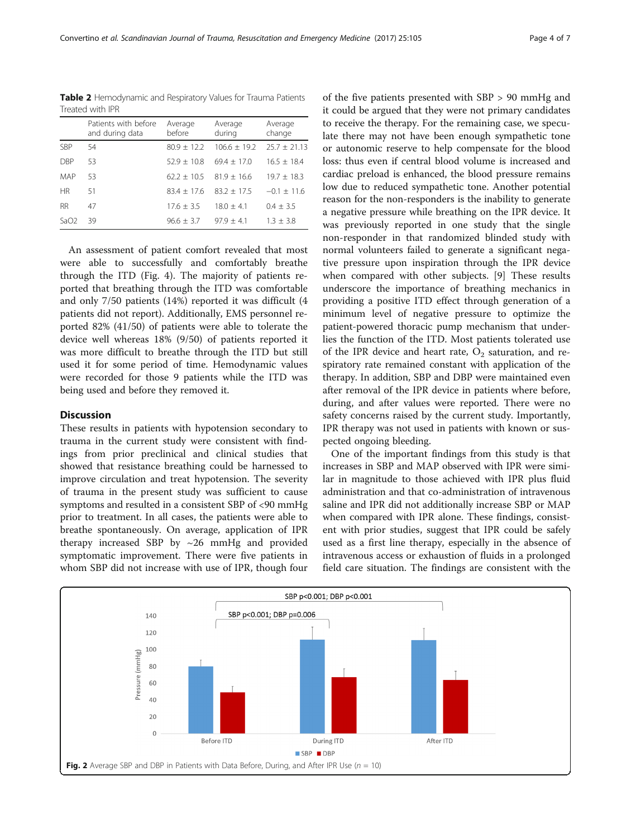<span id="page-3-0"></span>Table 2 Hemodynamic and Respiratory Values for Trauma Patients Treated with IPR

|            | Patients with before<br>and during data | Average<br>before | Average<br>during | Average<br>change |
|------------|-----------------------------------------|-------------------|-------------------|-------------------|
| <b>SBP</b> | 54                                      | $80.9 + 12.2$     | $106.6 + 19.2$    | $25.7 \pm 21.13$  |
| <b>DBP</b> | 53                                      | $52.9 + 10.8$     | $69.4 + 17.0$     | $16.5 \pm 18.4$   |
| MAP        | 53                                      | $62.2 + 10.5$     | $81.9 + 16.6$     | $19.7 \pm 18.3$   |
| HR.        | 51                                      | $83.4 + 17.6$     | $83.2 + 17.5$     | $-0.1 + 11.6$     |
| <b>RR</b>  | 47                                      | $17.6 + 3.5$      | $18.0 + 4.1$      | $0.4 \pm 3.5$     |
| SaO2       | 39                                      | $96.6 \pm 3.7$    | $97.9 \pm 4.1$    | $1.3 + 3.8$       |

An assessment of patient comfort revealed that most were able to successfully and comfortably breathe through the ITD (Fig. [4](#page-4-0)). The majority of patients reported that breathing through the ITD was comfortable and only 7/50 patients (14%) reported it was difficult (4 patients did not report). Additionally, EMS personnel reported 82% (41/50) of patients were able to tolerate the device well whereas 18% (9/50) of patients reported it was more difficult to breathe through the ITD but still used it for some period of time. Hemodynamic values were recorded for those 9 patients while the ITD was being used and before they removed it.

## **Discussion**

These results in patients with hypotension secondary to trauma in the current study were consistent with findings from prior preclinical and clinical studies that showed that resistance breathing could be harnessed to improve circulation and treat hypotension. The severity of trauma in the present study was sufficient to cause symptoms and resulted in a consistent SBP of <90 mmHg prior to treatment. In all cases, the patients were able to breathe spontaneously. On average, application of IPR therapy increased SBP by ~26 mmHg and provided symptomatic improvement. There were five patients in whom SBP did not increase with use of IPR, though four

of the five patients presented with SBP > 90 mmHg and it could be argued that they were not primary candidates to receive the therapy. For the remaining case, we speculate there may not have been enough sympathetic tone or autonomic reserve to help compensate for the blood loss: thus even if central blood volume is increased and cardiac preload is enhanced, the blood pressure remains low due to reduced sympathetic tone. Another potential reason for the non-responders is the inability to generate a negative pressure while breathing on the IPR device. It was previously reported in one study that the single non-responder in that randomized blinded study with normal volunteers failed to generate a significant negative pressure upon inspiration through the IPR device when compared with other subjects. [\[9](#page-5-0)] These results underscore the importance of breathing mechanics in providing a positive ITD effect through generation of a minimum level of negative pressure to optimize the patient-powered thoracic pump mechanism that underlies the function of the ITD. Most patients tolerated use of the IPR device and heart rate,  $O_2$  saturation, and respiratory rate remained constant with application of the therapy. In addition, SBP and DBP were maintained even after removal of the IPR device in patients where before, during, and after values were reported. There were no safety concerns raised by the current study. Importantly, IPR therapy was not used in patients with known or suspected ongoing bleeding.

One of the important findings from this study is that increases in SBP and MAP observed with IPR were similar in magnitude to those achieved with IPR plus fluid administration and that co-administration of intravenous saline and IPR did not additionally increase SBP or MAP when compared with IPR alone. These findings, consistent with prior studies, suggest that IPR could be safely used as a first line therapy, especially in the absence of intravenous access or exhaustion of fluids in a prolonged field care situation. The findings are consistent with the

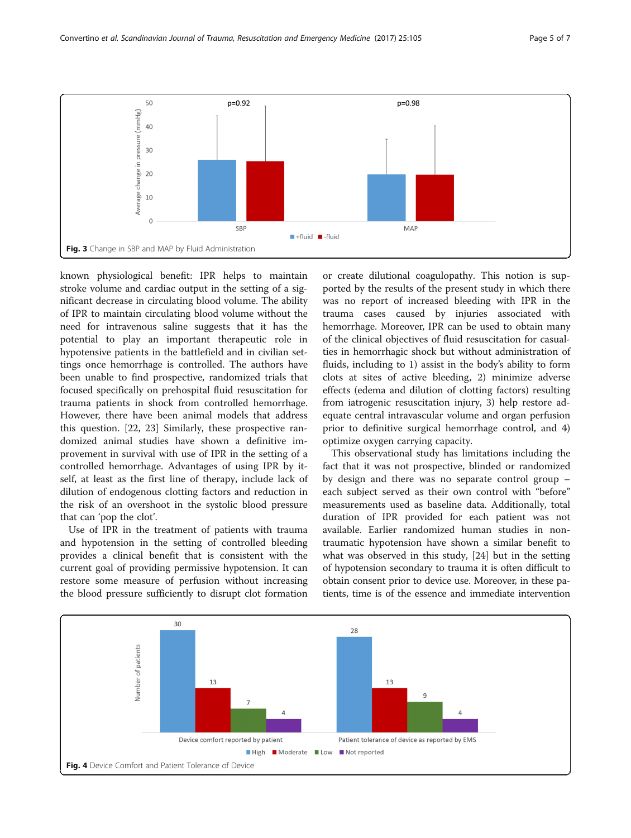<span id="page-4-0"></span>

known physiological benefit: IPR helps to maintain stroke volume and cardiac output in the setting of a significant decrease in circulating blood volume. The ability of IPR to maintain circulating blood volume without the need for intravenous saline suggests that it has the potential to play an important therapeutic role in hypotensive patients in the battlefield and in civilian settings once hemorrhage is controlled. The authors have been unable to find prospective, randomized trials that focused specifically on prehospital fluid resuscitation for trauma patients in shock from controlled hemorrhage. However, there have been animal models that address this question. [[22, 23\]](#page-6-0) Similarly, these prospective randomized animal studies have shown a definitive improvement in survival with use of IPR in the setting of a controlled hemorrhage. Advantages of using IPR by itself, at least as the first line of therapy, include lack of dilution of endogenous clotting factors and reduction in the risk of an overshoot in the systolic blood pressure that can 'pop the clot'.

Use of IPR in the treatment of patients with trauma and hypotension in the setting of controlled bleeding provides a clinical benefit that is consistent with the current goal of providing permissive hypotension. It can restore some measure of perfusion without increasing the blood pressure sufficiently to disrupt clot formation

or create dilutional coagulopathy. This notion is supported by the results of the present study in which there was no report of increased bleeding with IPR in the trauma cases caused by injuries associated with hemorrhage. Moreover, IPR can be used to obtain many of the clinical objectives of fluid resuscitation for casualties in hemorrhagic shock but without administration of fluids, including to 1) assist in the body's ability to form clots at sites of active bleeding, 2) minimize adverse effects (edema and dilution of clotting factors) resulting from iatrogenic resuscitation injury, 3) help restore adequate central intravascular volume and organ perfusion prior to definitive surgical hemorrhage control, and 4) optimize oxygen carrying capacity.

This observational study has limitations including the fact that it was not prospective, blinded or randomized by design and there was no separate control group – each subject served as their own control with "before" measurements used as baseline data. Additionally, total duration of IPR provided for each patient was not available. Earlier randomized human studies in nontraumatic hypotension have shown a similar benefit to what was observed in this study, [[24\]](#page-6-0) but in the setting of hypotension secondary to trauma it is often difficult to obtain consent prior to device use. Moreover, in these patients, time is of the essence and immediate intervention

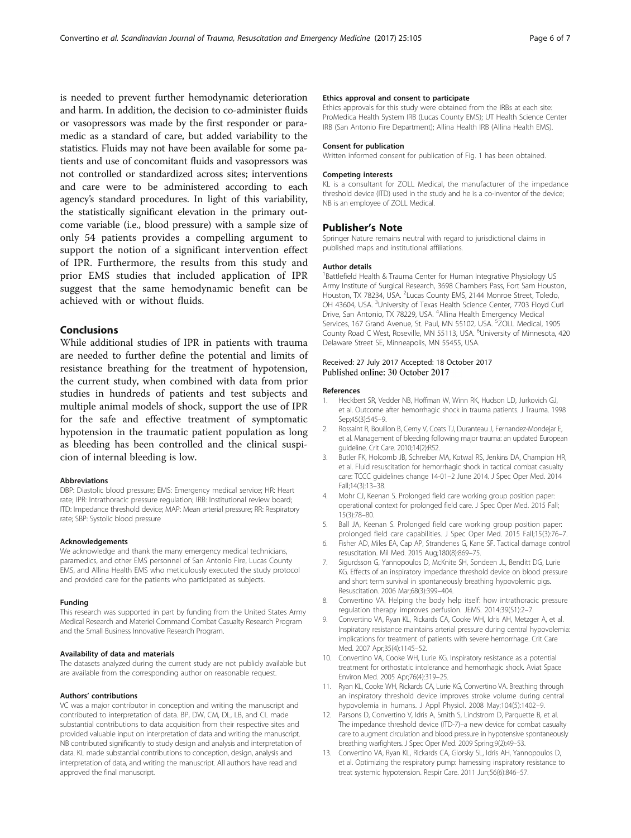<span id="page-5-0"></span>is needed to prevent further hemodynamic deterioration and harm. In addition, the decision to co-administer fluids or vasopressors was made by the first responder or paramedic as a standard of care, but added variability to the statistics. Fluids may not have been available for some patients and use of concomitant fluids and vasopressors was not controlled or standardized across sites; interventions and care were to be administered according to each agency's standard procedures. In light of this variability, the statistically significant elevation in the primary outcome variable (i.e., blood pressure) with a sample size of only 54 patients provides a compelling argument to support the notion of a significant intervention effect of IPR. Furthermore, the results from this study and prior EMS studies that included application of IPR suggest that the same hemodynamic benefit can be achieved with or without fluids.

## Conclusions

While additional studies of IPR in patients with trauma are needed to further define the potential and limits of resistance breathing for the treatment of hypotension, the current study, when combined with data from prior studies in hundreds of patients and test subjects and multiple animal models of shock, support the use of IPR for the safe and effective treatment of symptomatic hypotension in the traumatic patient population as long as bleeding has been controlled and the clinical suspicion of internal bleeding is low.

#### Abbreviations

DBP: Diastolic blood pressure; EMS: Emergency medical service; HR: Heart rate; IPR: Intrathoracic pressure regulation; IRB: Institutional review board; ITD: Impedance threshold device; MAP: Mean arterial pressure; RR: Respiratory rate; SBP: Systolic blood pressure

#### Acknowledgements

We acknowledge and thank the many emergency medical technicians, paramedics, and other EMS personnel of San Antonio Fire, Lucas County EMS, and Allina Health EMS who meticulously executed the study protocol and provided care for the patients who participated as subjects.

#### Funding

This research was supported in part by funding from the United States Army Medical Research and Materiel Command Combat Casualty Research Program and the Small Business Innovative Research Program.

#### Availability of data and materials

The datasets analyzed during the current study are not publicly available but are available from the corresponding author on reasonable request.

#### Authors' contributions

VC was a major contributor in conception and writing the manuscript and contributed to interpretation of data. BP, DW, CM, DL, LB, and CL made substantial contributions to data acquisition from their respective sites and provided valuable input on interpretation of data and writing the manuscript. NB contributed significantly to study design and analysis and interpretation of data. KL made substantial contributions to conception, design, analysis and interpretation of data, and writing the manuscript. All authors have read and approved the final manuscript.

#### Ethics approval and consent to participate

Ethics approvals for this study were obtained from the IRBs at each site: ProMedica Health System IRB (Lucas County EMS); UT Health Science Center IRB (San Antonio Fire Department); Allina Health IRB (Allina Health EMS).

#### Consent for publication

Written informed consent for publication of Fig. [1](#page-2-0) has been obtained.

#### Competing interests

KL is a consultant for ZOLL Medical, the manufacturer of the impedance threshold device (ITD) used in the study and he is a co-inventor of the device; NB is an employee of ZOLL Medical.

#### Publisher's Note

Springer Nature remains neutral with regard to jurisdictional claims in published maps and institutional affiliations.

#### Author details

<sup>1</sup>Battlefield Health & Trauma Center for Human Integrative Physiology US Army Institute of Surgical Research, 3698 Chambers Pass, Fort Sam Houston, Houston, TX 78234, USA. <sup>2</sup>Lucas County EMS, 2144 Monroe Street, Toledo OH 43604, USA. <sup>3</sup>University of Texas Health Science Center, 7703 Floyd Curl Drive, San Antonio, TX 78229, USA. <sup>4</sup>Allina Health Emergency Medical Services, 167 Grand Avenue, St. Paul, MN 55102, USA. <sup>5</sup>ZOLL Medical, 1905 County Road C West, Roseville, MN 55113, USA. <sup>6</sup>University of Minnesota, 420 Delaware Street SE, Minneapolis, MN 55455, USA.

#### Received: 27 July 2017 Accepted: 18 October 2017 Published online: 30 October 2017

#### References

- 1. Heckbert SR, Vedder NB, Hoffman W, Winn RK, Hudson LD, Jurkovich GJ, et al. Outcome after hemorrhagic shock in trauma patients. J Trauma. 1998 Sep;45(3):545–9.
- 2. Rossaint R, Bouillon B, Cerny V, Coats TJ, Duranteau J, Fernandez-Mondejar E, et al. Management of bleeding following major trauma: an updated European guideline. Crit Care. 2010;14(2):R52.
- 3. Butler FK, Holcomb JB, Schreiber MA, Kotwal RS, Jenkins DA, Champion HR, et al. Fluid resuscitation for hemorrhagic shock in tactical combat casualty care: TCCC guidelines change 14-01–2 June 2014. J Spec Oper Med. 2014 Fall;14(3):13–38.
- 4. Mohr CJ, Keenan S. Prolonged field care working group position paper: operational context for prolonged field care. J Spec Oper Med. 2015 Fall; 15(3):78–80.
- 5. Ball JA, Keenan S. Prolonged field care working group position paper: prolonged field care capabilities. J Spec Oper Med. 2015 Fall;15(3):76–7.
- 6. Fisher AD, Miles EA, Cap AP, Strandenes G, Kane SF. Tactical damage control resuscitation. Mil Med. 2015 Aug;180(8):869–75.
- 7. Sigurdsson G, Yannopoulos D, McKnite SH, Sondeen JL, Benditt DG, Lurie KG. Effects of an inspiratory impedance threshold device on blood pressure and short term survival in spontaneously breathing hypovolemic pigs. Resuscitation. 2006 Mar;68(3):399–404.
- Convertino VA. Helping the body help itself: how intrathoracic pressure regulation therapy improves perfusion. JEMS. 2014;39(S1):2–7.
- 9. Convertino VA, Ryan KL, Rickards CA, Cooke WH, Idris AH, Metzger A, et al. Inspiratory resistance maintains arterial pressure during central hypovolemia: implications for treatment of patients with severe hemorrhage. Crit Care Med. 2007 Apr;35(4):1145–52.
- 10. Convertino VA, Cooke WH, Lurie KG. Inspiratory resistance as a potential treatment for orthostatic intolerance and hemorrhagic shock. Aviat Space Environ Med. 2005 Apr;76(4):319–25.
- 11. Ryan KL, Cooke WH, Rickards CA, Lurie KG, Convertino VA. Breathing through an inspiratory threshold device improves stroke volume during central hypovolemia in humans. J Appl Physiol. 2008 May;104(5):1402–9.
- 12. Parsons D, Convertino V, Idris A, Smith S, Lindstrom D, Parquette B, et al. The impedance threshold device (ITD-7)–a new device for combat casualty care to augment circulation and blood pressure in hypotensive spontaneously breathing warfighters. J Spec Oper Med. 2009 Spring;9(2):49–53.
- 13. Convertino VA, Ryan KL, Rickards CA, Glorsky SL, Idris AH, Yannopoulos D, et al. Optimizing the respiratory pump: harnessing inspiratory resistance to treat systemic hypotension. Respir Care. 2011 Jun;56(6):846–57.